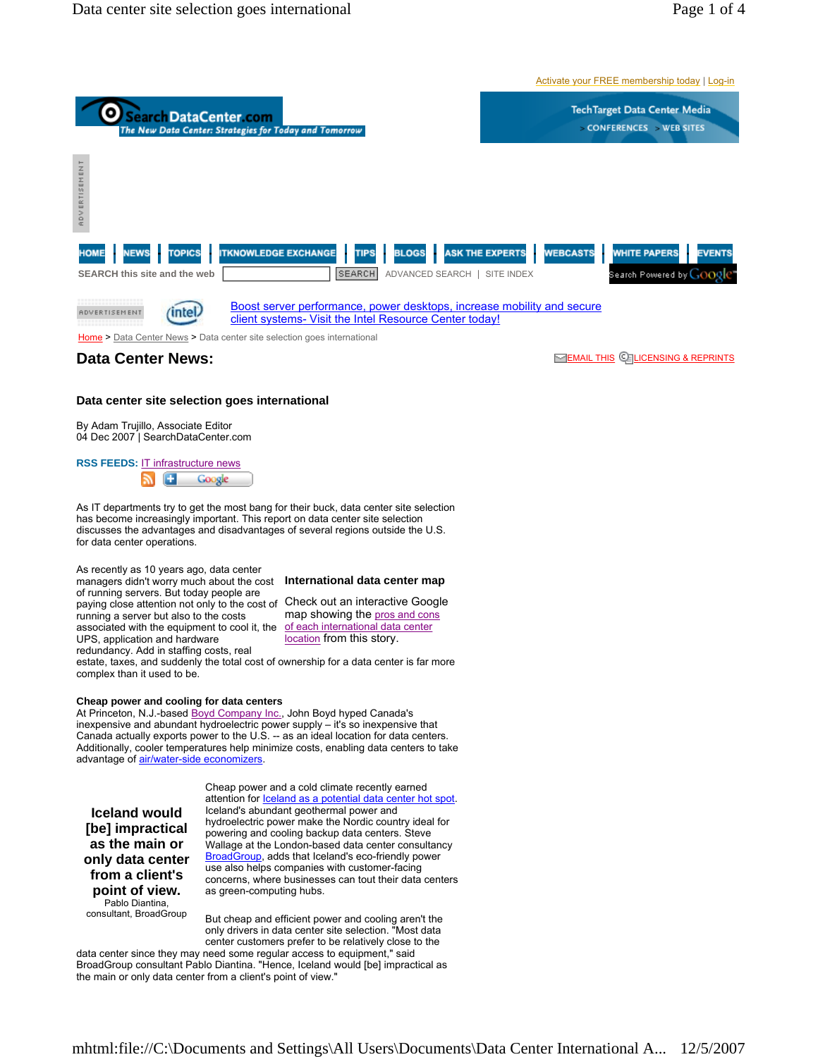Activate your FREE membership today | Log-in

| O.<br><b>Search DataCenter.com</b><br>The New Data Center: Strategies for Today and Tomorrow                                                                                         | TechTarget Data Center Media<br>> CONFERENCES > WEB SITES                                                                     |
|--------------------------------------------------------------------------------------------------------------------------------------------------------------------------------------|-------------------------------------------------------------------------------------------------------------------------------|
| <b>ADVERTISEMENT</b>                                                                                                                                                                 |                                                                                                                               |
| <b>ITKNOWLEDGE EXCHANGE</b><br><b>TOPICS</b><br><b>BLOGS</b><br><b>HOME</b><br><b>NEWS</b><br><b>TIPS</b><br><b>SEARCH this site and the web</b><br><b>SEARCH</b><br>ADVANCED SEARCH | <b>ASK THE EXPERTS</b><br><b>WEBCASTS</b><br><b>WHITE PAPERS</b><br><b>EVENTS</b><br>Search Powered by $Google$<br>SITE INDEX |
| Boost server performance, power desktops, increase mobility and secure<br>ıntel<br>ADVERTISEMENT<br>client systems- Visit the Intel Resource Center today!                           |                                                                                                                               |
| Home > Data Center News > Data center site selection goes international                                                                                                              |                                                                                                                               |
| <b>Data Center News:</b>                                                                                                                                                             | EMAIL THIS CELICENSING & REPRINTS                                                                                             |

### **Data center site selection goes international**

By Adam Trujillo, Associate Editor 04 Dec 2007 | SearchDataCenter.com

**RSS FEEDS:** IT infrastructure news **A** El Google

As IT departments try to get the most bang for their buck, data center site selection has become increasingly important. This report on data center site selection discusses the advantages and disadvantages of several regions outside the U.S. for data center operations.

As recently as 10 years ago, data center managers didn't worry much about the cost **International data center map** of running servers. But today people are paying close attention not only to the cost of running a server but also to the costs associated with the equipment to cool it, the of each international data center UPS, application and hardware redundancy. Add in staffing costs, real

Check out an interactive Google map showing the pros and cons location from this story.

estate, taxes, and suddenly the total cost of ownership for a data center is far more complex than it used to be.

### **Cheap power and cooling for data centers**

At Princeton, N.J.-based Boyd Company Inc., John Boyd hyped Canada's inexpensive and abundant hydroelectric power supply – it's so inexpensive that Canada actually exports power to the U.S. -- as an ideal location for data centers. Additionally, cooler temperatures help minimize costs, enabling data centers to take advantage of air/water-side economizers.

**Iceland would [be] impractical as the main or only data center from a client's point of view.**<br>Pablo Diantina, consultant, BroadGroup

Cheap power and a cold climate recently earned attention for **Iceland as a potential data center hot spot.** Iceland's abundant geothermal power and hydroelectric power make the Nordic country ideal for powering and cooling backup data centers. Steve Wallage at the London-based data center consultancy BroadGroup, adds that Iceland's eco-friendly power use also helps companies with customer-facing concerns, where businesses can tout their data centers as green-computing hubs.

But cheap and efficient power and cooling aren't the only drivers in data center site selection. "Most data center customers prefer to be relatively close to the

data center since they may need some regular access to equipment," said BroadGroup consultant Pablo Diantina. "Hence, Iceland would [be] impractical as the main or only data center from a client's point of view."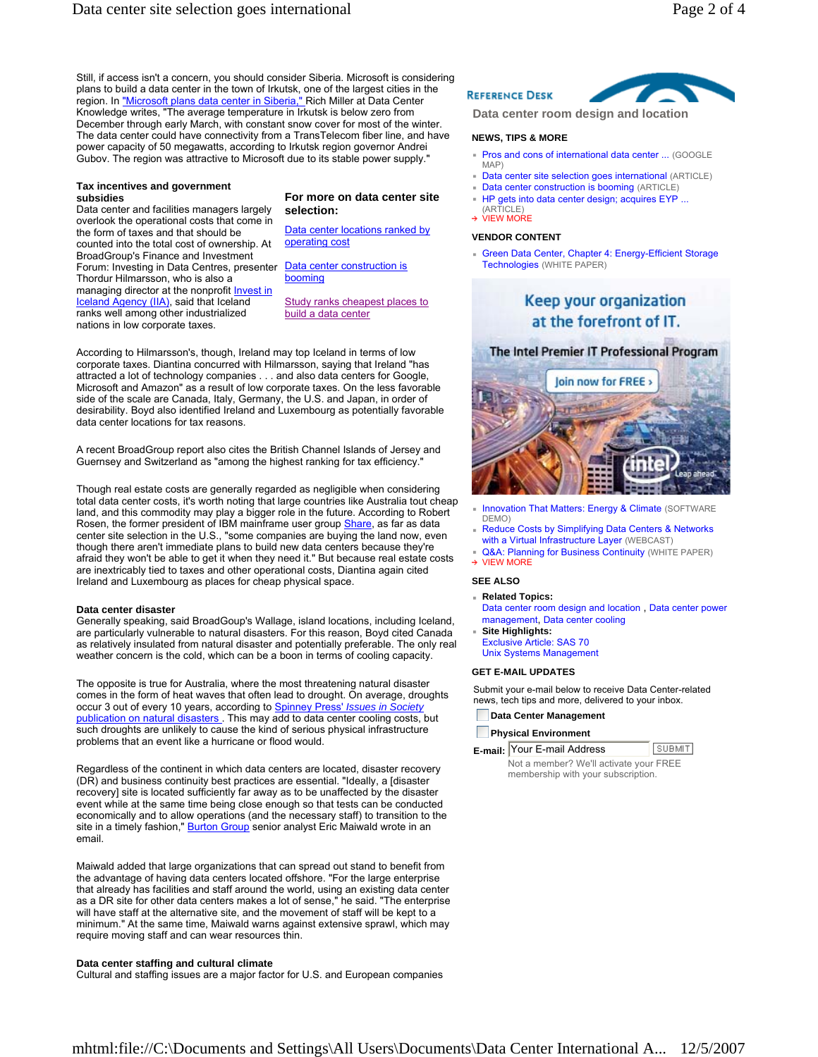Still, if access isn't a concern, you should consider Siberia. Microsoft is considering plans to build a data center in the town of Irkutsk, one of the largest cities in the region. In "Microsoft plans data center in Siberia," Rich Miller at Data Center Knowledge writes, "The average temperature in Irkutsk is below zero from December through early March, with constant snow cover for most of the winter. The data center could have connectivity from a TransTelecom fiber line, and have power capacity of 50 megawatts, according to Irkutsk region governor Andrei Gubov. The region was attractive to Microsoft due to its stable power supply."

### **Tax incentives and government subsidies**

Data center and facilities managers largely overlook the operational costs that come in the form of taxes and that should be counted into the total cost of ownership. At BroadGroup's Finance and Investment Forum: Investing in Data Centres, presenter Thordur Hilmarsson, who is also a managing director at the nonprofit **Invest in** Iceland Agency (IIA), said that Iceland ranks well among other industrialized nations in low corporate taxes.

### **For more on data center site selection:**

Data center locations ranked by operating cost

Data center construction is booming

Study ranks cheapest places to build a data center

According to Hilmarsson's, though, Ireland may top Iceland in terms of low corporate taxes. Diantina concurred with Hilmarsson, saying that Ireland "has attracted a lot of technology companies . . . and also data centers for Google, Microsoft and Amazon" as a result of low corporate taxes. On the less favorable side of the scale are Canada, Italy, Germany, the U.S. and Japan, in order of desirability. Boyd also identified Ireland and Luxembourg as potentially favorable data center locations for tax reasons.

A recent BroadGroup report also cites the British Channel Islands of Jersey and Guernsey and Switzerland as "among the highest ranking for tax efficiency."

Though real estate costs are generally regarded as negligible when considering total data center costs, it's worth noting that large countries like Australia tout cheap land, and this commodity may play a bigger role in the future. According to Robert Rosen, the former president of IBM mainframe user group **Share**, as far as data center site selection in the U.S., "some companies are buying the land now, even though there aren't immediate plans to build new data centers because they're afraid they won't be able to get it when they need it." But because real estate costs are inextricably tied to taxes and other operational costs, Diantina again cited Ireland and Luxembourg as places for cheap physical space.

### **Data center disaster**

Generally speaking, said BroadGoup's Wallage, island locations, including Iceland, are particularly vulnerable to natural disasters. For this reason, Boyd cited Canada as relatively insulated from natural disaster and potentially preferable. The only real weather concern is the cold, which can be a boon in terms of cooling capacity.

The opposite is true for Australia, where the most threatening natural disaster comes in the form of heat waves that often lead to drought. On average, droughts occur 3 out of every 10 years, according to Spinney Press' *Issues in Society* publication on natural disasters. This may add to data center cooling costs, but such droughts are unlikely to cause the kind of serious physical infrastructure problems that an event like a hurricane or flood would.

Regardless of the continent in which data centers are located, disaster recovery (DR) and business continuity best practices are essential. "Ideally, a [disaster recovery] site is located sufficiently far away as to be unaffected by the disaster event while at the same time being close enough so that tests can be conducted economically and to allow operations (and the necessary staff) to transition to the site in a timely fashion," Burton Group senior analyst Eric Maiwald wrote in an email.

Maiwald added that large organizations that can spread out stand to benefit from the advantage of having data centers located offshore. "For the large enterprise that already has facilities and staff around the world, using an existing data center as a DR site for other data centers makes a lot of sense," he said. "The enterprise will have staff at the alternative site, and the movement of staff will be kept to a minimum." At the same time, Maiwald warns against extensive sprawl, which may require moving staff and can wear resources thin.

### **Data center staffing and cultural climate**

Cultural and staffing issues are a major factor for U.S. and European companies

# **REFERENCE DESK**

**Data center room design and location**

### **NEWS, TIPS & MORE**

- Pros and cons of international data center ... (GOOGLE MAP)
- Data center site selection goes international (ARTICLE)
- Data center construction is booming (ARTICLE)
- HP gets into data center design; acquires EYP ... (ARTICLE)  $\rightarrow$  VIEW MORE

### **VENDOR CONTENT**

Green Data Center, Chapter 4: Energy-Efficient Storage Technologies (WHITE PAPER)

# **Keep your organization** at the forefront of IT.

### The Intel Premier IT Professional Program



- Innovation That Matters: Energy & Climate (SOFTWARE DEMO)
- Reduce Costs by Simplifying Data Centers & Networks with a Virtual Infrastructure Layer (WEBCAST)
- **Q&A: Planning for Business Continuity (WHITE PAPER)**  $\rightarrow$  VIEW MORE

### **SEE ALSO**

- **Related Topics:** Data center room design and location , Data center power management, Data center cooling
- **Site Highlights:** Exclusive Article: SAS 70
- Unix Systems Management

### **GET E-MAIL UPDATES**

Submit your e-mail below to receive Data Center-related news, tech tips and more, delivered to your inbox.

SUBMIT

**Data Center Management**

### **Physical Environment**

**E-mail:** Your E-mail Address

Not a member? We'll activate your FREE membership with your subscription.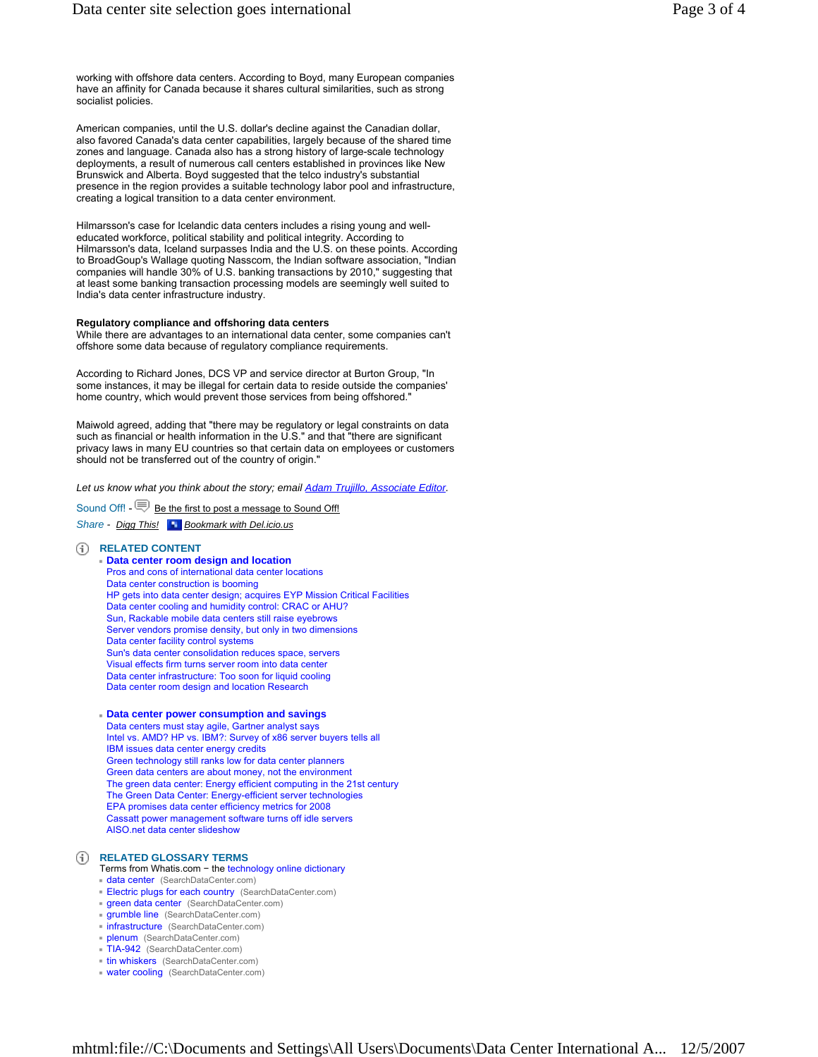working with offshore data centers. According to Boyd, many European companies have an affinity for Canada because it shares cultural similarities, such as strong socialist policies.

American companies, until the U.S. dollar's decline against the Canadian dollar, also favored Canada's data center capabilities, largely because of the shared time zones and language. Canada also has a strong history of large-scale technology deployments, a result of numerous call centers established in provinces like New Brunswick and Alberta. Boyd suggested that the telco industry's substantial presence in the region provides a suitable technology labor pool and infrastructure, creating a logical transition to a data center environment.

Hilmarsson's case for Icelandic data centers includes a rising young and welleducated workforce, political stability and political integrity. According to Hilmarsson's data, Iceland surpasses India and the U.S. on these points. According to BroadGoup's Wallage quoting Nasscom, the Indian software association, "Indian companies will handle 30% of U.S. banking transactions by 2010," suggesting that at least some banking transaction processing models are seemingly well suited to India's data center infrastructure industry.

### **Regulatory compliance and offshoring data centers**

While there are advantages to an international data center, some companies can't offshore some data because of regulatory compliance requirements.

According to Richard Jones, DCS VP and service director at Burton Group, "In some instances, it may be illegal for certain data to reside outside the companies' home country, which would prevent those services from being offshored."

Maiwold agreed, adding that "there may be regulatory or legal constraints on data such as financial or health information in the U.S." and that "there are significant privacy laws in many EU countries so that certain data on employees or customers should not be transferred out of the country of origin."

Let us know what you think about the story; email Adam Trujillo, Associate Editor.

Sound Off! -  $\equiv$  Be the first to post a message to Sound Off!

*Share - Digg This! Bookmark with Del.icio.us* 

### **RELATED CONTENT**

**Data center room design and location** Pros and cons of international data center locations Data center construction is booming HP gets into data center design; acquires EYP Mission Critical Facilities Data center cooling and humidity control: CRAC or AHU? Sun, Rackable mobile data centers still raise eyebrows Server vendors promise density, but only in two dimensions Data center facility control systems Sun's data center consolidation reduces space, servers Visual effects firm turns server room into data center Data center infrastructure: Too soon for liquid cooling Data center room design and location Research

### **Data center power consumption and savings**

Data centers must stay agile, Gartner analyst says Intel vs. AMD? HP vs. IBM?: Survey of x86 server buyers tells all IBM issues data center energy credits Green technology still ranks low for data center planners Green data centers are about money, not the environment The green data center: Energy efficient computing in the 21st century The Green Data Center: Energy-efficient server technologies EPA promises data center efficiency metrics for 2008 Cassatt power management software turns off idle servers AISO.net data center slideshow

## **RELATED GLOSSARY TERMS**

Terms from Whatis.com - the technology online dictionary

- data center (SearchDataCenter.com)
- Electric plugs for each country (SearchDataCenter.com)
- **green data center** (SearchDataCenter.com)
- grumble line (SearchDataCenter.com)
- infrastructure (SearchDataCenter.com)
- plenum (SearchDataCenter.com)
- TIA-942 (SearchDataCenter.com)
- **tin whiskers** (SearchDataCenter.com)
- water cooling (SearchDataCenter.com)